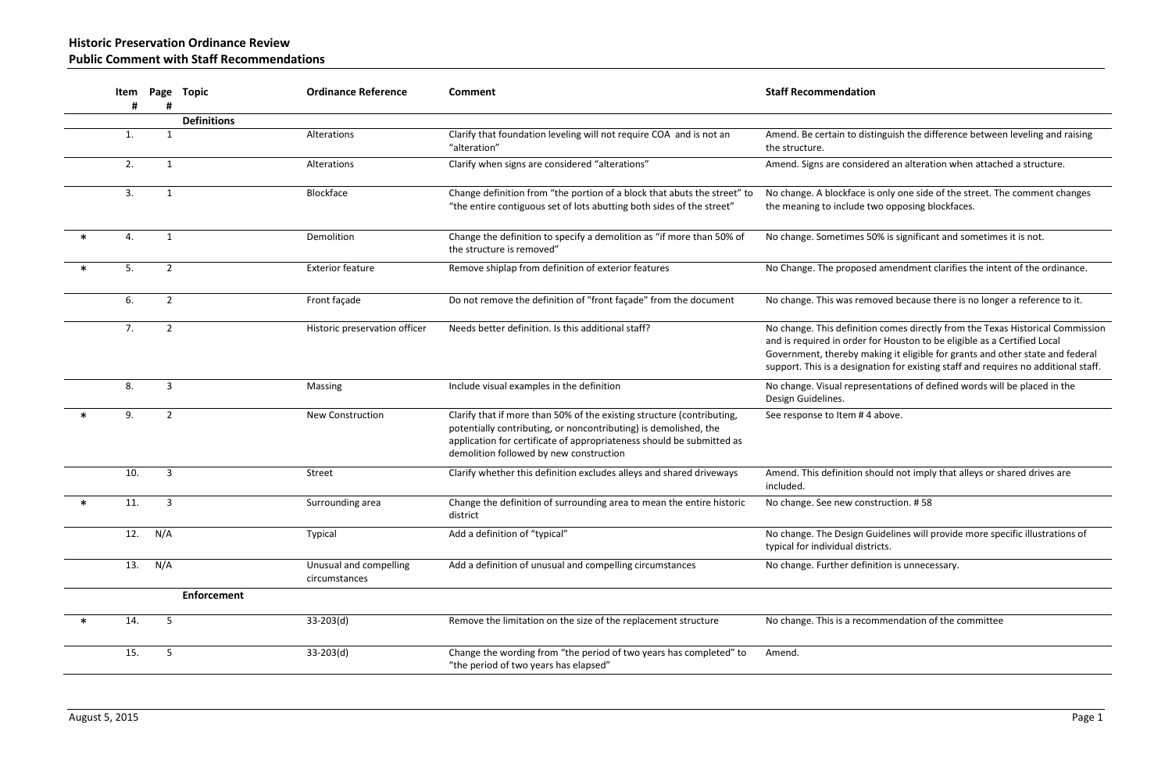**Historic Preservation Ordinance Review Public Comment with Staff Recommendations**

|        | Item | Page           | Topic              | <b>Ordinance Reference</b>              | Comment                                                                                                                                                                                                                                                        | <b>Staff Recommendation</b>                                                                                                                                                                                                                    |
|--------|------|----------------|--------------------|-----------------------------------------|----------------------------------------------------------------------------------------------------------------------------------------------------------------------------------------------------------------------------------------------------------------|------------------------------------------------------------------------------------------------------------------------------------------------------------------------------------------------------------------------------------------------|
|        |      |                | <b>Definitions</b> |                                         |                                                                                                                                                                                                                                                                |                                                                                                                                                                                                                                                |
|        | 1.   | $\mathbf 1$    |                    | Alterations                             | Clarify that foundation leveling will not require COA and is not an<br>"alteration"                                                                                                                                                                            | Amend. Be certain to distinguish the difference betwee<br>the structure.                                                                                                                                                                       |
|        | 2.   | $\mathbf{1}$   |                    | Alterations                             | Clarify when signs are considered "alterations"                                                                                                                                                                                                                | Amend. Signs are considered an alteration when attach                                                                                                                                                                                          |
|        | 3.   | 1              |                    | Blockface                               | Change definition from "the portion of a block that abuts the street" to<br>"the entire contiguous set of lots abutting both sides of the street"                                                                                                              | No change. A blockface is only one side of the street. The<br>the meaning to include two opposing blockfaces.                                                                                                                                  |
|        | 4.   | $\mathbf{1}$   |                    | Demolition                              | Change the definition to specify a demolition as "if more than 50% of<br>the structure is removed"                                                                                                                                                             | No change. Sometimes 50% is significant and sometime                                                                                                                                                                                           |
| $\ast$ | 5.   | $\overline{2}$ |                    | <b>Exterior feature</b>                 | Remove shiplap from definition of exterior features                                                                                                                                                                                                            | No Change. The proposed amendment clarifies the inte                                                                                                                                                                                           |
|        | 6.   | $\overline{2}$ |                    | Front façade                            | Do not remove the definition of "front façade" from the document                                                                                                                                                                                               | No change. This was removed because there is no longe                                                                                                                                                                                          |
|        | 7.   | $\overline{2}$ |                    | Historic preservation officer           | Needs better definition. Is this additional staff?                                                                                                                                                                                                             | No change. This definition comes directly from the Texa<br>and is required in order for Houston to be eligible as a C<br>Government, thereby making it eligible for grants and o<br>support. This is a designation for existing staff and requ |
|        | 8.   | 3              |                    | Massing                                 | Include visual examples in the definition                                                                                                                                                                                                                      | No change. Visual representations of defined words wil<br>Design Guidelines.                                                                                                                                                                   |
|        | 9.   | $\overline{2}$ |                    | <b>New Construction</b>                 | Clarify that if more than 50% of the existing structure (contributing,<br>potentially contributing, or noncontributing) is demolished, the<br>application for certificate of appropriateness should be submitted as<br>demolition followed by new construction | See response to Item #4 above.                                                                                                                                                                                                                 |
|        | 10.  | 3              |                    | Street                                  | Clarify whether this definition excludes alleys and shared driveways                                                                                                                                                                                           | Amend. This definition should not imply that alleys or sl<br>included.                                                                                                                                                                         |
|        | 11.  | 3              |                    | Surrounding area                        | Change the definition of surrounding area to mean the entire historic<br>district                                                                                                                                                                              | No change. See new construction. #58                                                                                                                                                                                                           |
|        | 12.  | N/A            |                    | Typical                                 | Add a definition of "typical"                                                                                                                                                                                                                                  | No change. The Design Guidelines will provide more spe<br>typical for individual districts.                                                                                                                                                    |
|        | 13.  | N/A            |                    | Unusual and compelling<br>circumstances | Add a definition of unusual and compelling circumstances                                                                                                                                                                                                       | No change. Further definition is unnecessary.                                                                                                                                                                                                  |
|        |      |                | <b>Enforcement</b> |                                         |                                                                                                                                                                                                                                                                |                                                                                                                                                                                                                                                |
|        | 14.  | 5              |                    | $33-203(d)$                             | Remove the limitation on the size of the replacement structure                                                                                                                                                                                                 | No change. This is a recommendation of the committee                                                                                                                                                                                           |
|        | 15.  | 5              |                    | $33-203(d)$                             | Change the wording from "the period of two years has completed" to<br>"the period of two years has elapsed"                                                                                                                                                    | Amend.                                                                                                                                                                                                                                         |

distinguish the difference between leveling and raising

sidered an alteration when attached a structure.

ce is only one side of the street. The comment changes le two opposing blockfaces.

es 50% is significant and sometimes it is not.

osed amendment clarifies the intent of the ordinance.

emoved because there is no longer a reference to it.

ition comes directly from the Texas Historical Commission er for Houston to be eligible as a Certified Local  $\alpha$  making it eligible for grants and other state and federal ignation for existing staff and requires no additional staff.

resentations of defined words will be placed in the

n should not imply that alleys or shared drives are

n Guidelines will provide more specific illustrations of districts.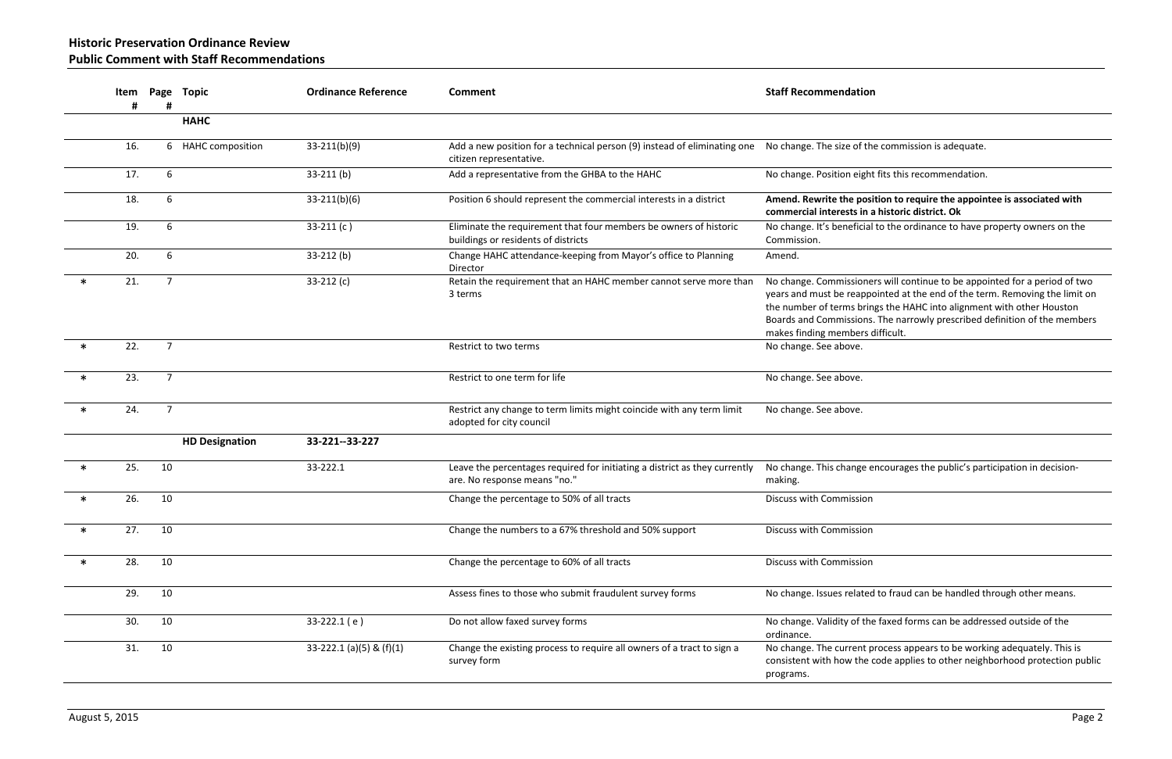18. 6 33-211(b)(6) Position 6 should represent the commercial interests in a district **Amend. Rewrite the position to require the appointee is associated with commercial interests in a historic district. Ok**

icial to the ordinance to have property owners on the

ioners will continue to be appointed for a period of two appointed at the end of the term. Removing the limit on brings the HAHC into alignment with other Houston ons. The narrowly prescribed definition of the members ers difficult.

ge encourages the public's participation in decision-

ated to fraud can be handled through other means.

f the faxed forms can be addressed outside of the

Int process appears to be working adequately. This is he code applies to other neighborhood protection public

|        | #   | #               | Item Page Topic       | <b>Ordinance Reference</b> | <b>Comment</b>                                                                                             | <b>Staff Recommendation</b>                                                                                                            |
|--------|-----|-----------------|-----------------------|----------------------------|------------------------------------------------------------------------------------------------------------|----------------------------------------------------------------------------------------------------------------------------------------|
|        |     |                 | <b>HAHC</b>           |                            |                                                                                                            |                                                                                                                                        |
|        | 16. |                 | 6 HAHC composition    | $33-211(b)(9)$             | Add a new position for a technical person (9) instead of eliminating one<br>citizen representative.        | No change. The size of the                                                                                                             |
|        | 17. | 6               |                       | $33-211$ (b)               | Add a representative from the GHBA to the HAHC                                                             | No change. Position eight                                                                                                              |
|        | 18. | 6               |                       | $33-211(b)(6)$             | Position 6 should represent the commercial interests in a district                                         | Amend. Rewrite the posi<br>commercial interests in a                                                                                   |
|        | 19. | 6               |                       | $33-211(c)$                | Eliminate the requirement that four members be owners of historic<br>buildings or residents of districts   | No change. It's beneficial<br>Commission.                                                                                              |
|        | 20. | 6               |                       | $33-212$ (b)               | Change HAHC attendance-keeping from Mayor's office to Planning<br>Director                                 | Amend.                                                                                                                                 |
| $\ast$ | 21. | $7\overline{ }$ |                       | $33-212(c)$                | Retain the requirement that an HAHC member cannot serve more than<br>3 terms                               | No change. Commissioner<br>years and must be reappo<br>the number of terms bring<br>Boards and Commissions.<br>makes finding members d |
| $\ast$ | 22. | $\overline{7}$  |                       |                            | Restrict to two terms                                                                                      | No change. See above.                                                                                                                  |
| $\ast$ | 23. | $\overline{7}$  |                       |                            | Restrict to one term for life                                                                              | No change. See above.                                                                                                                  |
| $\ast$ | 24. | $\overline{7}$  |                       |                            | Restrict any change to term limits might coincide with any term limit<br>adopted for city council          | No change. See above.                                                                                                                  |
|        |     |                 | <b>HD Designation</b> | 33-221--33-227             |                                                                                                            |                                                                                                                                        |
| $\ast$ | 25. | 10              |                       | 33-222.1                   | Leave the percentages required for initiating a district as they currently<br>are. No response means "no." | No change. This change e<br>making.                                                                                                    |
| $\ast$ | 26. | 10              |                       |                            | Change the percentage to 50% of all tracts                                                                 | <b>Discuss with Commission</b>                                                                                                         |
| $\ast$ | 27. | 10              |                       |                            | Change the numbers to a 67% threshold and 50% support                                                      | Discuss with Commission                                                                                                                |
| $\ast$ | 28. | 10              |                       |                            | Change the percentage to 60% of all tracts                                                                 | Discuss with Commission                                                                                                                |
|        | 29. | 10              |                       |                            | Assess fines to those who submit fraudulent survey forms                                                   | No change. Issues related                                                                                                              |
|        | 30. | 10              |                       | $33-222.1(e)$              | Do not allow faxed survey forms                                                                            | No change. Validity of the<br>ordinance.                                                                                               |
|        | 31. | 10              |                       | 33-222.1 (a)(5) & (f)(1)   | Change the existing process to require all owners of a tract to sign a<br>survey form                      | No change. The current p<br>consistent with how the c<br>programs.                                                                     |

| ٠<br>×<br>۰.<br>×<br>۰. | I |  |
|-------------------------|---|--|
|                         |   |  |

of the commission is adequate.

ight fits this recommendation.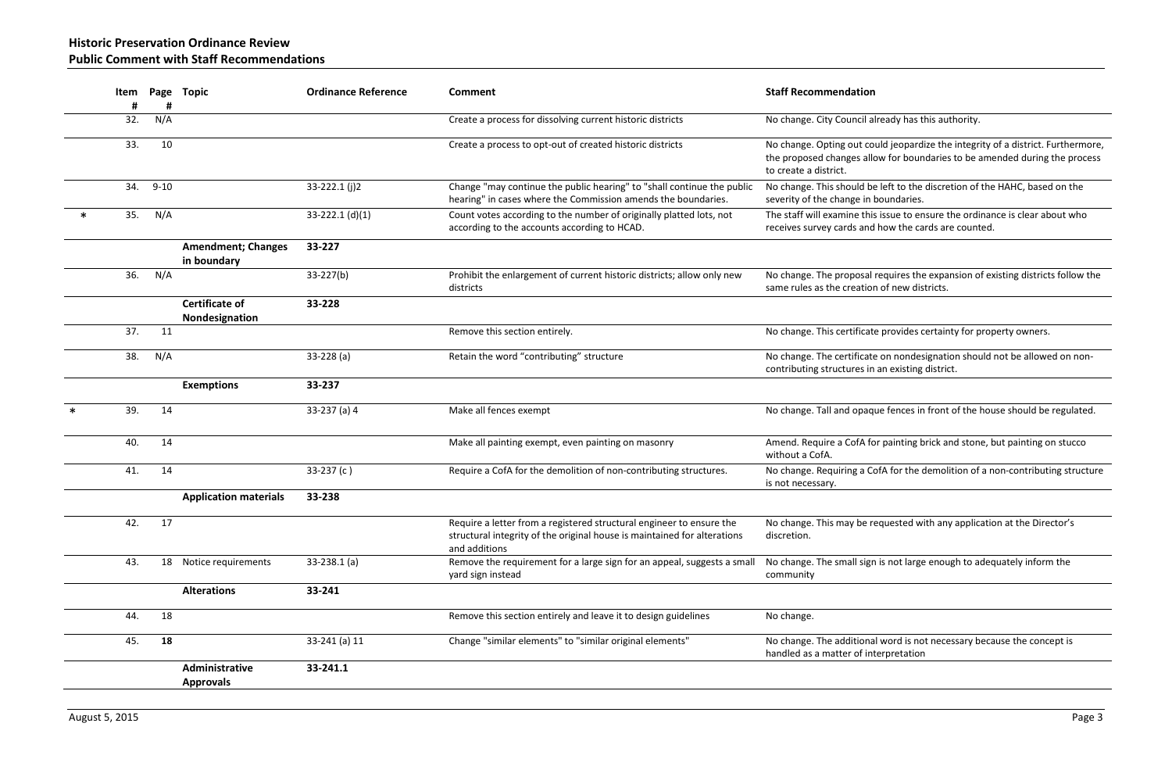cil already has this authority.

It could jeopardize the integrity of a district. Furthermore, allow for boundaries to be amended during the process

Id be left to the discretion of the HAHC, based on the e in boundaries.

this issue to ensure the ordinance is clear about who and how the cards are counted.

Isal requires the expansion of existing districts follow the ation of new districts.

icate provides certainty for property owners.

icate on nondesignation should not be allowed on nones in an existing district.

paque fences in front of the house should be regulated.

fA for painting brick and stone, but painting on stucco

a 21. 14 35. 231. 14 33. 237. Non-contributing structure. Note the demolition of a non-contributing structure

be requested with any application at the Director's

sign is not large enough to adequately inform the

ional word is not necessary because the concept is of interpretation

|        | Item     |          | Page Topic                               | <b>Ordinance Reference</b> | <b>Comment</b>                                                                                                                                                    | <b>Staff Recommendation</b>                                                    |
|--------|----------|----------|------------------------------------------|----------------------------|-------------------------------------------------------------------------------------------------------------------------------------------------------------------|--------------------------------------------------------------------------------|
|        | #<br>32. | N/A      |                                          |                            | Create a process for dissolving current historic districts                                                                                                        | No change. City Council a                                                      |
|        | 33.      | 10       |                                          |                            | Create a process to opt-out of created historic districts                                                                                                         | No change. Opting out co<br>the proposed changes allo<br>to create a district. |
|        | 34.      | $9 - 10$ |                                          | 33-222.1 (j)2              | Change "may continue the public hearing" to "shall continue the public<br>hearing" in cases where the Commission amends the boundaries.                           | No change. This should be<br>severity of the change in I                       |
| $\ast$ | 35.      | N/A      |                                          | 33-222.1 $(d)(1)$          | Count votes according to the number of originally platted lots, not<br>according to the accounts according to HCAD.                                               | The staff will examine this<br>receives survey cards and                       |
|        |          |          | <b>Amendment; Changes</b><br>in boundary | 33-227                     |                                                                                                                                                                   |                                                                                |
|        | 36.      | N/A      |                                          | $33-227(b)$                | Prohibit the enlargement of current historic districts; allow only new<br>districts                                                                               | No change. The proposal<br>same rules as the creation                          |
|        |          |          | <b>Certificate of</b><br>Nondesignation  | 33-228                     |                                                                                                                                                                   |                                                                                |
|        | 37.      | 11       |                                          |                            | Remove this section entirely.                                                                                                                                     | No change. This certificate                                                    |
|        | 38.      | N/A      |                                          | $33-228(a)$                | Retain the word "contributing" structure                                                                                                                          | No change. The certificate<br>contributing structures in                       |
|        |          |          | <b>Exemptions</b>                        | 33-237                     |                                                                                                                                                                   |                                                                                |
|        | 39.      | 14       |                                          | 33-237 (a) 4               | Make all fences exempt                                                                                                                                            | No change. Tall and opaq                                                       |
|        | 40.      | 14       |                                          |                            | Make all painting exempt, even painting on masonry                                                                                                                | Amend. Require a CofA fo<br>without a CofA.                                    |
|        | 41.      | 14       |                                          | $33-237(c)$                | Require a CofA for the demolition of non-contributing structures.                                                                                                 | No change. Requiring a Co<br>is not necessary.                                 |
|        |          |          | <b>Application materials</b>             | 33-238                     |                                                                                                                                                                   |                                                                                |
|        | 42.      | 17       |                                          |                            | Require a letter from a registered structural engineer to ensure the<br>structural integrity of the original house is maintained for alterations<br>and additions | No change. This may be re<br>discretion.                                       |
|        | 43.      | 18       | Notice requirements                      | $33-238.1$ (a)             | Remove the requirement for a large sign for an appeal, suggests a small<br>yard sign instead                                                                      | No change. The small sign<br>community                                         |
|        |          |          | <b>Alterations</b>                       | 33-241                     |                                                                                                                                                                   |                                                                                |
|        | 44.      | 18       |                                          |                            | Remove this section entirely and leave it to design guidelines                                                                                                    | No change.                                                                     |
|        | 45.      | 18       |                                          | 33-241 (a) 11              | Change "similar elements" to "similar original elements"                                                                                                          | No change. The additiona<br>handled as a matter of int                         |
|        |          |          | Administrative<br><b>Approvals</b>       | 33-241.1                   |                                                                                                                                                                   |                                                                                |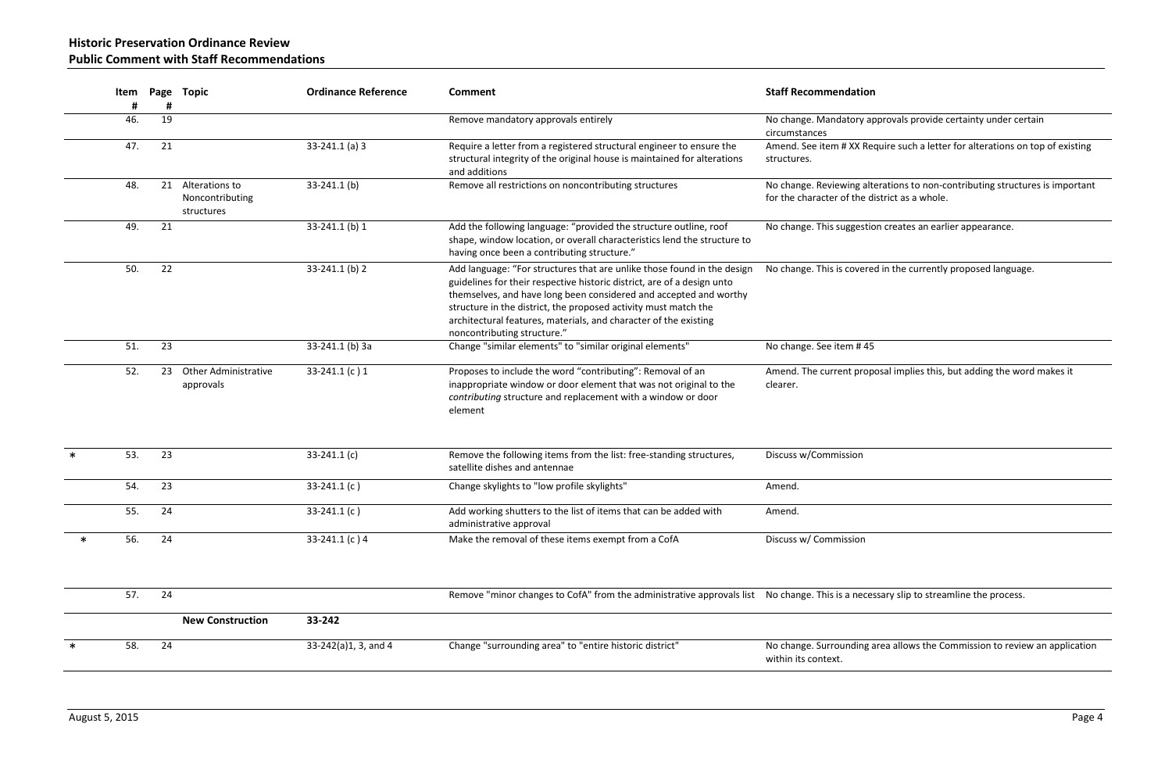**Historic Preservation Ordinance Review Public Comment with Staff Recommendations**

| Item     |         |                                                 | <b>Ordinance Reference</b> | <b>Comment</b>                                                                                                                                                                                                                                                                                                                                                                                | <b>Staff Recommendation</b>                              |
|----------|---------|-------------------------------------------------|----------------------------|-----------------------------------------------------------------------------------------------------------------------------------------------------------------------------------------------------------------------------------------------------------------------------------------------------------------------------------------------------------------------------------------------|----------------------------------------------------------|
| #<br>46. | #<br>19 |                                                 |                            | Remove mandatory approvals entirely                                                                                                                                                                                                                                                                                                                                                           | No change. Mandatory ap                                  |
| 47.      | 21      |                                                 | $33-241.1$ (a) 3           | Require a letter from a registered structural engineer to ensure the<br>structural integrity of the original house is maintained for alterations                                                                                                                                                                                                                                              | circumstances<br>Amend. See item # XX Red<br>structures. |
| 48.      | 21      | Alterations to<br>Noncontributing<br>structures | 33-241.1 (b)               | Remove all restrictions on noncontributing structures                                                                                                                                                                                                                                                                                                                                         | No change. Reviewing alte<br>for the character of the di |
| 49.      | 21      |                                                 | 33-241.1 (b) 1             | Add the following language: "provided the structure outline, roof<br>shape, window location, or overall characteristics lend the structure to<br>having once been a contributing structure."                                                                                                                                                                                                  | No change. This suggestic                                |
| 50.      | 22      |                                                 | 33-241.1 (b) 2             | Add language: "For structures that are unlike those found in the design<br>guidelines for their respective historic district, are of a design unto<br>themselves, and have long been considered and accepted and worthy<br>structure in the district, the proposed activity must match the<br>architectural features, materials, and character of the existing<br>noncontributing structure." | No change. This is covere                                |
| 51.      | 23      |                                                 | 33-241.1 (b) 3a            | Change "similar elements" to "similar original elements"                                                                                                                                                                                                                                                                                                                                      | No change. See item #45                                  |
| 52.      | 23      | <b>Other Administrative</b><br>approvals        | 33-241.1 (c) 1             | Proposes to include the word "contributing": Removal of an<br>inappropriate window or door element that was not original to the<br>contributing structure and replacement with a window or door<br>element                                                                                                                                                                                    | Amend. The current prop<br>clearer.                      |
| 53.      | 23      |                                                 | 33-241.1 $(c)$             | Remove the following items from the list: free-standing structures,<br>satellite dishes and antennae                                                                                                                                                                                                                                                                                          | Discuss w/Commission                                     |
| 54.      | 23      |                                                 | 33-241.1 $(c)$             | Change skylights to "low profile skylights"                                                                                                                                                                                                                                                                                                                                                   | Amend.                                                   |
| 55.      | 24      |                                                 | 33-241.1 $(c)$             | Add working shutters to the list of items that can be added with<br>administrative approval                                                                                                                                                                                                                                                                                                   | Amend.                                                   |
| 56.      | 24      |                                                 | 33-241.1 (c) 4             | Make the removal of these items exempt from a CofA                                                                                                                                                                                                                                                                                                                                            | Discuss w/ Commission                                    |
| 57.      | 24      |                                                 |                            | Remove "minor changes to CofA" from the administrative approvals list No change. This is a neces                                                                                                                                                                                                                                                                                              |                                                          |
|          |         | <b>New Construction</b>                         | 33-242                     |                                                                                                                                                                                                                                                                                                                                                                                               |                                                          |
| 58.      | 24      |                                                 | 33-242(a)1, 3, and 4       | Change "surrounding area" to "entire historic district"                                                                                                                                                                                                                                                                                                                                       | No change. Surrounding a<br>within its context.          |
|          |         |                                                 | Page Topic                 |                                                                                                                                                                                                                                                                                                                                                                                               | and additions                                            |

ry approvals provide certainty under certain

 $X$  Require such a letter for alterations on top of existing

g alterations to non-contributing structures is important he district as a whole.

estion creates an earlier appearance.

vered in the currently proposed language.

proposal implies this, but adding the word makes it

ecessary slip to streamline the process.

ing area allows the Commission to review an application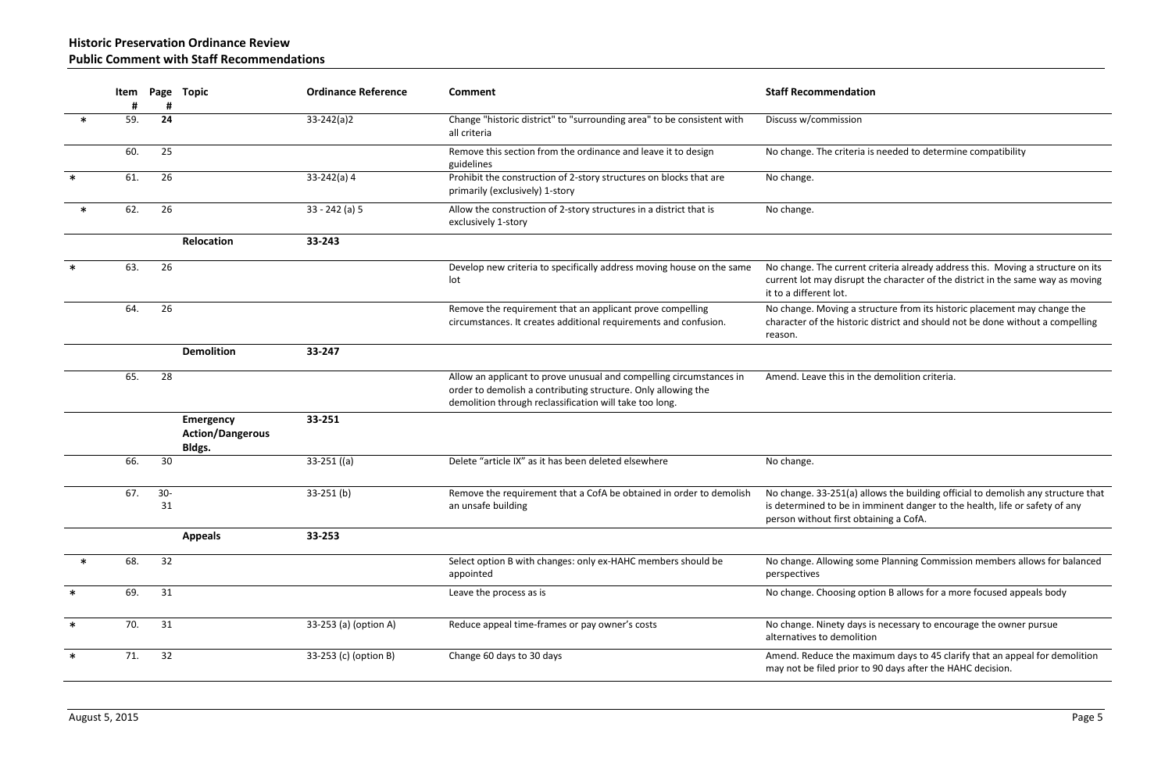# **Historic Preservation Ordinance Review Public Comment with Staff Recommendations**

ia is needed to determine compatibility

Int criteria already address this. Moving a structure on its pt the character of the district in the same way as moving

structure from its historic placement may change the ric district and should not be done without a compelling

the demolition criteria.

) allows the building official to demolish any structure that in imminent danger to the health, life or safety of any btaining a CofA.

some Planning Commission members allows for balanced

option B allows for a more focused appeals body

ys is necessary to encourage the owner pursue ition

naximum days to 45 clarify that an appeal for demolition to 90 days after the HAHC decision.

|        | Item     |             | Page Topic                                            | <b>Ordinance Reference</b> | <b>Comment</b>                                                                                                                                                                                  | <b>Staff Recommendation</b>                                                           |
|--------|----------|-------------|-------------------------------------------------------|----------------------------|-------------------------------------------------------------------------------------------------------------------------------------------------------------------------------------------------|---------------------------------------------------------------------------------------|
| $\ast$ | #<br>59. | #<br>24     |                                                       | $33 - 242(a)2$             | Change "historic district" to "surrounding area" to be consistent with<br>all criteria                                                                                                          | Discuss w/commission                                                                  |
|        | 60.      | 25          |                                                       |                            | Remove this section from the ordinance and leave it to design<br>guidelines                                                                                                                     | No change. The criteria is                                                            |
| $\ast$ | 61.      | 26          |                                                       | $33-242(a) 4$              | Prohibit the construction of 2-story structures on blocks that are<br>primarily (exclusively) 1-story                                                                                           | No change.                                                                            |
| $\ast$ | 62.      | 26          |                                                       | $33 - 242$ (a) 5           | Allow the construction of 2-story structures in a district that is<br>exclusively 1-story                                                                                                       | No change.                                                                            |
|        |          |             | Relocation                                            | 33-243                     |                                                                                                                                                                                                 |                                                                                       |
| $\ast$ | 63.      | 26          |                                                       |                            | Develop new criteria to specifically address moving house on the same<br>lot                                                                                                                    | No change. The current cr<br>current lot may disrupt th<br>it to a different lot.     |
|        | 64.      | 26          |                                                       |                            | Remove the requirement that an applicant prove compelling<br>circumstances. It creates additional requirements and confusion.                                                                   | No change. Moving a stru<br>character of the historic d<br>reason.                    |
|        |          |             | <b>Demolition</b>                                     | 33-247                     |                                                                                                                                                                                                 |                                                                                       |
|        | 65.      | 28          |                                                       |                            | Allow an applicant to prove unusual and compelling circumstances in<br>order to demolish a contributing structure. Only allowing the<br>demolition through reclassification will take too long. | Amend. Leave this in the                                                              |
|        |          |             | <b>Emergency</b><br><b>Action/Dangerous</b><br>Bldgs. | 33-251                     |                                                                                                                                                                                                 |                                                                                       |
|        | 66.      | 30          |                                                       | $33-251$ ((a)              | Delete "article IX" as it has been deleted elsewhere                                                                                                                                            | No change.                                                                            |
|        | 67.      | $30-$<br>31 |                                                       | $33-251$ (b)               | Remove the requirement that a CofA be obtained in order to demolish<br>an unsafe building                                                                                                       | No change. 33-251(a) allo<br>is determined to be in imi<br>person without first obtai |
|        |          |             | <b>Appeals</b>                                        | 33-253                     |                                                                                                                                                                                                 |                                                                                       |
| $\ast$ | 68.      | 32          |                                                       |                            | Select option B with changes: only ex-HAHC members should be<br>appointed                                                                                                                       | No change. Allowing som<br>perspectives                                               |
| ∗      | 69.      | 31          |                                                       |                            | Leave the process as is                                                                                                                                                                         | No change. Choosing opti                                                              |
| $\ast$ | 70.      | 31          |                                                       | 33-253 (a) (option A)      | Reduce appeal time-frames or pay owner's costs                                                                                                                                                  | No change. Ninety days is<br>alternatives to demolition                               |
| $\ast$ | 71.      | 32          |                                                       | 33-253 (c) (option B)      | Change 60 days to 30 days                                                                                                                                                                       | Amend. Reduce the maxir<br>may not be filed prior to 9                                |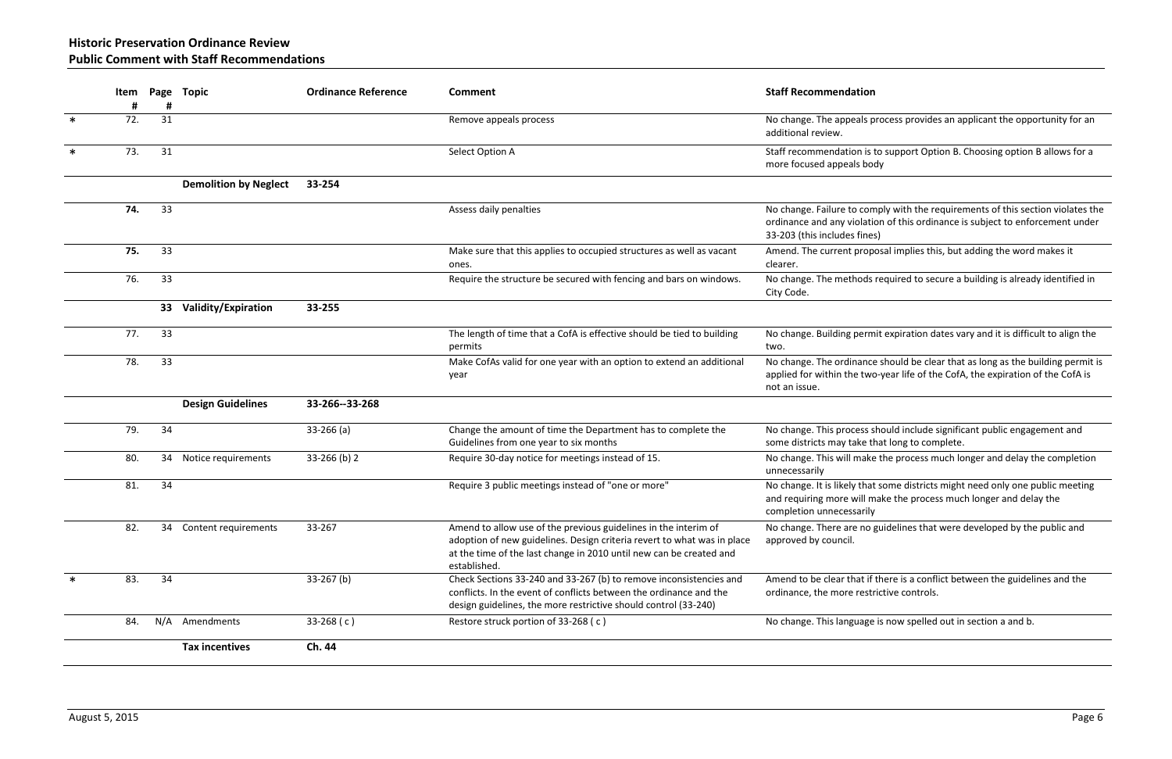als process provides an applicant the opportunity for an

is to support Option B. Choosing option B allows for a i body

comply with the requirements of this section violates the olation of this ordinance is subject to enforcement under fines)

roposal implies this, but adding the word makes it

ods required to secure a building is already identified in

ermit expiration dates vary and it is difficult to align the

ance should be clear that as long as the building permit is two-year life of the CofA, the expiration of the CofA is

ess should include significant public engagement and ke that long to complete.

nake the process much longer and delay the completion

that some districts might need only one public meeting. ill make the process much longer and delay the arily

no guidelines that were developed by the public and

at if there is a conflict between the guidelines and the restrictive controls.

age is now spelled out in section a and b.

|        | Item     |         | Page Topic                   | <b>Ordinance Reference</b> | Comment                                                                                                                                                                                                                           | <b>Staff Recommendation</b>                                                            |
|--------|----------|---------|------------------------------|----------------------------|-----------------------------------------------------------------------------------------------------------------------------------------------------------------------------------------------------------------------------------|----------------------------------------------------------------------------------------|
| $\ast$ | #<br>72. | #<br>31 |                              |                            | Remove appeals process                                                                                                                                                                                                            | No change. The appeals p<br>additional review.                                         |
| $\ast$ | 73.      | 31      |                              |                            | Select Option A                                                                                                                                                                                                                   | Staff recommendation is t<br>more focused appeals boo                                  |
|        |          |         | <b>Demolition by Neglect</b> | 33-254                     |                                                                                                                                                                                                                                   |                                                                                        |
|        | 74.      | 33      |                              |                            | Assess daily penalties                                                                                                                                                                                                            | No change. Failure to com<br>ordinance and any violatio<br>33-203 (this includes fines |
|        | 75.      | 33      |                              |                            | Make sure that this applies to occupied structures as well as vacant<br>ones.                                                                                                                                                     | Amend. The current prop<br>clearer.                                                    |
|        | 76.      | 33      |                              |                            | Require the structure be secured with fencing and bars on windows.                                                                                                                                                                | No change. The methods<br>City Code.                                                   |
|        |          | 33      | Validity/Expiration          | 33-255                     |                                                                                                                                                                                                                                   |                                                                                        |
|        | 77.      | 33      |                              |                            | The length of time that a CofA is effective should be tied to building<br>permits                                                                                                                                                 | No change. Building perm<br>two.                                                       |
|        | 78.      | 33      |                              |                            | Make CofAs valid for one year with an option to extend an additional<br>year                                                                                                                                                      | No change. The ordinance<br>applied for within the two<br>not an issue.                |
|        |          |         | <b>Design Guidelines</b>     | 33-266--33-268             |                                                                                                                                                                                                                                   |                                                                                        |
|        | 79.      | 34      |                              | $33-266$ (a)               | Change the amount of time the Department has to complete the<br>Guidelines from one year to six months                                                                                                                            | No change. This process s<br>some districts may take th                                |
|        | 80.      | 34      | Notice requirements          | 33-266 (b) 2               | Require 30-day notice for meetings instead of 15.                                                                                                                                                                                 | No change. This will make<br>unnecessarily                                             |
|        | 81.      | 34      |                              |                            | Require 3 public meetings instead of "one or more"                                                                                                                                                                                | No change. It is likely that<br>and requiring more will m<br>completion unnecessarily  |
|        | 82.      | 34      | Content requirements         | 33-267                     | Amend to allow use of the previous guidelines in the interim of<br>adoption of new guidelines. Design criteria revert to what was in place<br>at the time of the last change in 2010 until new can be created and<br>established. | No change. There are no<br>approved by council.                                        |
| $\ast$ | 83.      | 34      |                              | $33-267$ (b)               | Check Sections 33-240 and 33-267 (b) to remove inconsistencies and<br>conflicts. In the event of conflicts between the ordinance and the<br>design guidelines, the more restrictive should control (33-240)                       | Amend to be clear that if<br>ordinance, the more restr                                 |
|        | 84.      | N/A     | Amendments                   | 33-268 $(c)$               | Restore struck portion of 33-268 (c)                                                                                                                                                                                              | No change. This language                                                               |
|        |          |         | <b>Tax incentives</b>        | Ch. 44                     |                                                                                                                                                                                                                                   |                                                                                        |